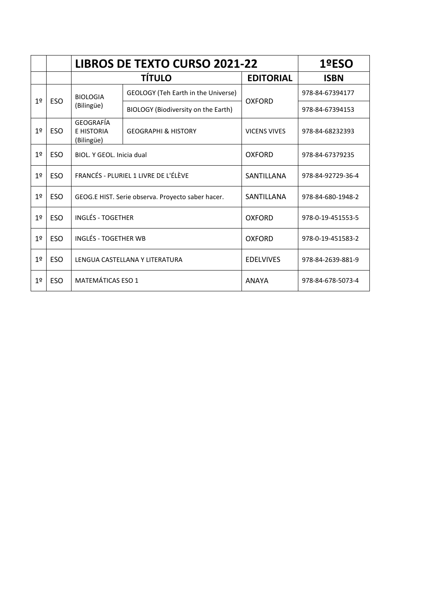|                |            | <b>LIBROS DE TEXTO CURSO 2021-22</b>              |                                     |                     | 1ºESO             |
|----------------|------------|---------------------------------------------------|-------------------------------------|---------------------|-------------------|
|                |            |                                                   | <b>TÍTULO</b>                       | <b>EDITORIAL</b>    | <b>ISBN</b>       |
| 1 <sup>°</sup> | <b>ESO</b> | <b>BIOLOGIA</b>                                   | GEOLOGY (Teh Earth in the Universe) |                     | 978-84-67394177   |
|                |            | (Bilingüe)                                        | BIOLOGY (Biodiversity on the Earth) | <b>OXFORD</b>       | 978-84-67394153   |
| 1 <sup>°</sup> | <b>ESO</b> | <b>GEOGRAFÍA</b><br>E HISTORIA<br>(Bilingüe)      | <b>GEOGRAPHI &amp; HISTORY</b>      | <b>VICENS VIVES</b> | 978-84-68232393   |
| 1 <sup>°</sup> | <b>ESO</b> | BIOL, Y GEOL, Inicia dual                         |                                     | <b>OXFORD</b>       | 978-84-67379235   |
| 19             | <b>ESO</b> | FRANCÉS - PLURIEL 1 LIVRE DE L'ÉLÈVE              |                                     | SANTILLANA          | 978-84-92729-36-4 |
| 1 <sup>°</sup> | <b>ESO</b> | GEOG.E HIST. Serie observa. Proyecto saber hacer. |                                     | SANTILLANA          | 978-84-680-1948-2 |
| 19             | <b>ESO</b> | <b>INGLÉS - TOGETHER</b>                          |                                     | <b>OXFORD</b>       | 978-0-19-451553-5 |
| 19             | <b>ESO</b> | <b>INGLÉS - TOGETHER WB</b>                       |                                     | OXFORD              | 978-0-19-451583-2 |
| 1 <sup>°</sup> | <b>ESO</b> | LENGUA CASTELLANA Y LITERATURA                    |                                     | <b>EDELVIVES</b>    | 978-84-2639-881-9 |
| 1 <sup>°</sup> | <b>ESO</b> | MATEMÁTICAS ESO 1                                 |                                     | ANAYA               | 978-84-678-5073-4 |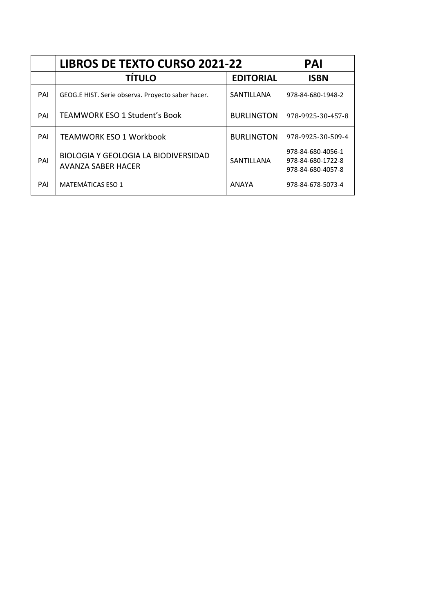|     | <b>LIBROS DE TEXTO CURSO 2021-22</b>                              | <b>PAI</b>        |                                                             |
|-----|-------------------------------------------------------------------|-------------------|-------------------------------------------------------------|
|     | <b>TÍTULO</b>                                                     | <b>EDITORIAL</b>  | <b>ISBN</b>                                                 |
| PAI | GEOG.E HIST. Serie observa. Proyecto saber hacer.                 | SANTILLANA        | 978-84-680-1948-2                                           |
| PAI | <b>TEAMWORK ESO 1 Student's Book</b>                              | <b>BURLINGTON</b> | 978-9925-30-457-8                                           |
| PAI | <b>TEAMWORK ESO 1 Workbook</b>                                    | <b>BURLINGTON</b> | 978-9925-30-509-4                                           |
| PAI | <b>BIOLOGIA Y GEOLOGIA LA BIODIVERSIDAD</b><br>AVANZA SABER HACER | SANTILLANA        | 978-84-680-4056-1<br>978-84-680-1722-8<br>978-84-680-4057-8 |
| PAI | <b>MATEMÁTICAS ESO 1</b>                                          | <b>ANAYA</b>      | 978-84-678-5073-4                                           |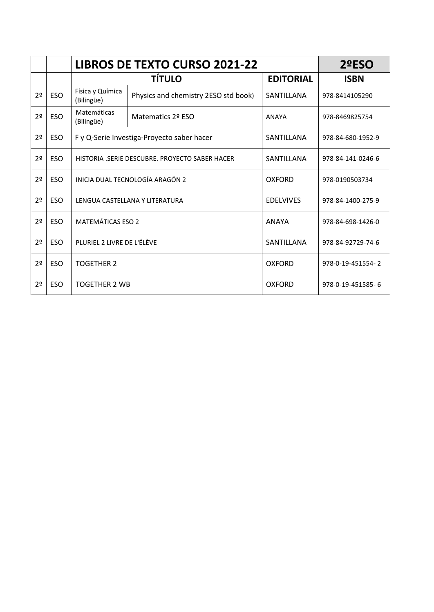|                |            |                                                | <b>LIBROS DE TEXTO CURSO 2021-22</b> |                  |                   |  |
|----------------|------------|------------------------------------------------|--------------------------------------|------------------|-------------------|--|
|                |            |                                                | <b>TÍTULO</b>                        | <b>EDITORIAL</b> | <b>ISBN</b>       |  |
| 2 <sup>0</sup> | <b>ESO</b> | Física y Química<br>(Bilingüe)                 | Physics and chemistry 2ESO std book) | SANTILLANA       | 978-8414105290    |  |
| 2 <sup>0</sup> | <b>ESO</b> | Matemáticas<br>(Bilingüe)                      | Matematics 2º ESO                    | <b>ANAYA</b>     | 978-8469825754    |  |
| 2 <sup>0</sup> | ESO.       | F y Q-Serie Investiga-Proyecto saber hacer     |                                      | SANTILLANA       | 978-84-680-1952-9 |  |
| 2 <sup>0</sup> | <b>ESO</b> | HISTORIA .SERIE DESCUBRE. PROYECTO SABER HACER |                                      | SANTILLANA       | 978-84-141-0246-6 |  |
| 2 <sup>0</sup> | <b>ESO</b> | INICIA DUAL TECNOLOGÍA ARAGÓN 2                |                                      | OXFORD           | 978-0190503734    |  |
| 2 <sup>0</sup> | <b>ESO</b> |                                                | LENGUA CASTELLANA Y LITERATURA       | <b>EDELVIVES</b> | 978-84-1400-275-9 |  |
| 2 <sup>0</sup> | <b>ESO</b> | <b>MATEMÁTICAS ESO 2</b>                       |                                      | ANAYA            | 978-84-698-1426-0 |  |
| 2 <sup>0</sup> | <b>ESO</b> | PLURIEL 2 LIVRE DE L'ÉLÈVE                     |                                      | SANTILLANA       | 978-84-92729-74-6 |  |
| 2 <sup>o</sup> | <b>ESO</b> | <b>TOGETHER 2</b>                              |                                      | <b>OXFORD</b>    | 978-0-19-451554-2 |  |
| 2 <sup>0</sup> | <b>ESO</b> | <b>TOGETHER 2 WB</b>                           |                                      | <b>OXFORD</b>    | 978-0-19-451585-6 |  |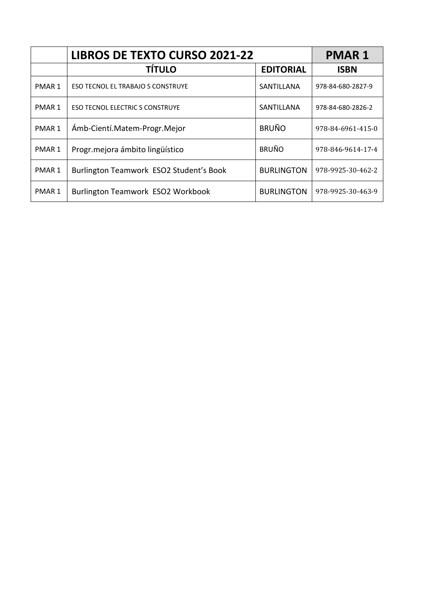|                   | <b>LIBROS DE TEXTO CURSO 2021-22</b>     | <b>PMAR1</b>      |                   |
|-------------------|------------------------------------------|-------------------|-------------------|
|                   | <b>TÍTULO</b>                            | <b>EDITORIAL</b>  | <b>ISBN</b>       |
| PMAR 1            | <b>ESO TECNOL EL TRABAJO S CONSTRUYE</b> | SANTILLANA        | 978-84-680-2827-9 |
| PMAR 1            | <b>ESO TECNOL ELECTRIC S CONSTRUYE</b>   | SANTILLANA        | 978-84-680-2826-2 |
| PMAR <sub>1</sub> | Ámb-Cientí.Matem-Progr.Mejor             | <b>BRUÑO</b>      | 978-84-6961-415-0 |
| PMAR 1            | Progr. mejora ámbito lingüístico         | <b>BRUÑO</b>      | 978-846-9614-17-4 |
| PMAR 1            | Burlington Teamwork ESO2 Student's Book  | <b>BURLINGTON</b> | 978-9925-30-462-2 |
| PMAR 1            | Burlington Teamwork ESO2 Workbook        | <b>BURLINGTON</b> | 978-9925-30-463-9 |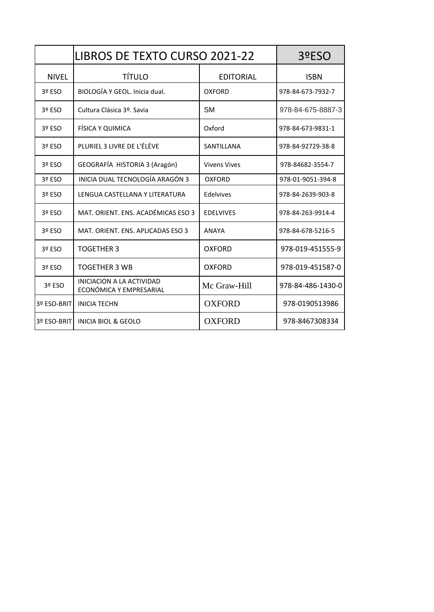|              | <b>LIBROS DE TEXTO CURSO 2021-22</b>                 | 3ºESO               |                   |
|--------------|------------------------------------------------------|---------------------|-------------------|
| <b>NIVEL</b> | <b>TÍTULO</b>                                        | <b>EDITORIAL</b>    | <b>ISBN</b>       |
| 3º ESO       | BIOLOGÍA Y GEOL. Inicia dual.                        | <b>OXFORD</b>       | 978-84-673-7932-7 |
| 3º ESO       | Cultura Clásica 3º. Savia                            | <b>SM</b>           | 978-84-675-8887-3 |
| 3º ESO       | FÍSICA Y QUIMICA                                     | Oxford              | 978-84-673-9831-1 |
| 3º ESO       | PLURIEL 3 LIVRE DE L'ÉLÈVE                           | SANTILLANA          | 978-84-92729-38-8 |
| 3º ESO       | GEOGRAFÍA HISTORIA 3 (Aragón)                        | <b>Vivens Vives</b> | 978-84682-3554-7  |
| 3º ESO       | INICIA DUAL TECNOLOGÍA ARAGÓN 3                      | <b>OXFORD</b>       | 978-01-9051-394-8 |
| 3º ESO       | LENGUA CASTELLANA Y LITERATURA                       | Edelvives           | 978-84-2639-903-8 |
| 3º ESO       | MAT. ORIENT. ENS. ACADÉMICAS ESO 3                   | <b>EDELVIVES</b>    | 978-84-263-9914-4 |
| 3º ESO       | MAT. ORIENT. ENS. APLICADAS ESO 3                    | <b>ANAYA</b>        | 978-84-678-5216-5 |
| 3º ESO       | <b>TOGETHER 3</b>                                    | <b>OXFORD</b>       | 978-019-451555-9  |
| 3º ESO       | <b>TOGETHER 3 WB</b>                                 | OXFORD              | 978-019-451587-0  |
| 3º ESO       | INICIACION A LA ACTIVIDAD<br>ECONÓMICA Y EMPRESARIAL | Mc Graw-Hill        | 978-84-486-1430-0 |
| 3º ESO-BRIT  | <b>INICIA TECHN</b>                                  | <b>OXFORD</b>       | 978-0190513986    |
| 3º ESO-BRIT  | <b>INICIA BIOL &amp; GEOLO</b>                       | <b>OXFORD</b>       | 978-8467308334    |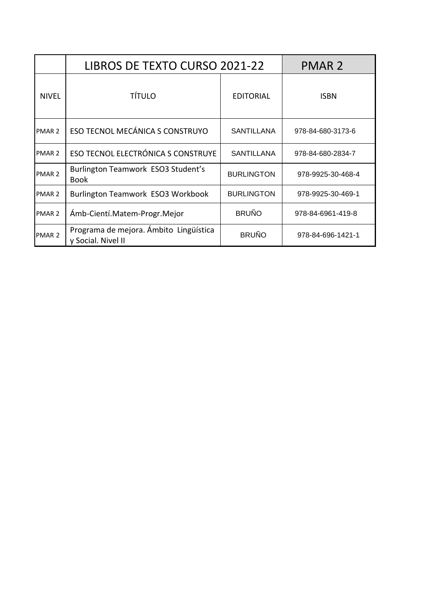|                   | LIBROS DE TEXTO CURSO 2021-22                                |                   | <b>PMAR 2</b>     |
|-------------------|--------------------------------------------------------------|-------------------|-------------------|
| <b>NIVEL</b>      | <b>TÍTULO</b>                                                | <b>EDITORIAL</b>  | <b>ISBN</b>       |
| PMAR <sub>2</sub> | ESO TECNOL MECÁNICA S CONSTRUYO                              | <b>SANTILLANA</b> | 978-84-680-3173-6 |
| PMAR <sub>2</sub> | ESO TECNOL ELECTRÓNICA S CONSTRUYE                           | <b>SANTILLANA</b> | 978-84-680-2834-7 |
| PMAR <sub>2</sub> | Burlington Teamwork ESO3 Student's<br><b>Book</b>            | <b>BURLINGTON</b> | 978-9925-30-468-4 |
| PMAR <sub>2</sub> | Burlington Teamwork ESO3 Workbook                            | <b>BURLINGTON</b> | 978-9925-30-469-1 |
| PMAR <sub>2</sub> | Ámb-Cientí.Matem-Progr.Mejor                                 | <b>BRUÑO</b>      | 978-84-6961-419-8 |
| PMAR 2            | Programa de mejora. Ámbito Lingüística<br>y Social. Nivel II | <b>BRUÑO</b>      | 978-84-696-1421-1 |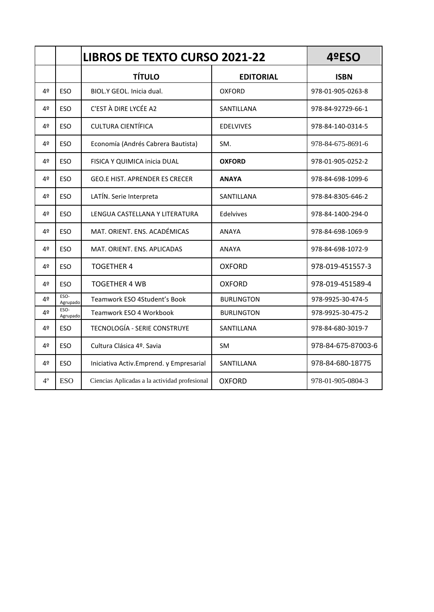|             |                  | <b>LIBROS DE TEXTO CURSO 2021-22</b>          |                   | 4ºESO              |
|-------------|------------------|-----------------------------------------------|-------------------|--------------------|
|             |                  | <b>TÍTULO</b>                                 | <b>EDITORIAL</b>  | <b>ISBN</b>        |
| 4º          | <b>ESO</b>       | BIOL.Y GEOL. Inicia dual.                     | <b>OXFORD</b>     | 978-01-905-0263-8  |
| 4º          | <b>ESO</b>       | C'EST À DIRE LYCÉE A2                         | SANTILLANA        | 978-84-92729-66-1  |
| 4º          | <b>ESO</b>       | <b>CULTURA CIENTÍFICA</b>                     | <b>EDELVIVES</b>  | 978-84-140-0314-5  |
| 4º          | <b>ESO</b>       | Economía (Andrés Cabrera Bautista)            | SM.               | 978-84-675-8691-6  |
| 4º          | <b>ESO</b>       | FISICA Y QUIMICA inicia DUAL                  | <b>OXFORD</b>     | 978-01-905-0252-2  |
| 4º          | <b>ESO</b>       | <b>GEO.E HIST. APRENDER ES CRECER</b>         | <b>ANAYA</b>      | 978-84-698-1099-6  |
| 4º          | <b>ESO</b>       | LATÍN. Serie Interpreta                       | SANTILLANA        | 978-84-8305-646-2  |
| 4º          | <b>ESO</b>       | LENGUA CASTELLANA Y LITERATURA                | Edelvives         | 978-84-1400-294-0  |
| 4º          | <b>ESO</b>       | MAT. ORIENT. ENS. ACADÉMICAS                  | <b>ANAYA</b>      | 978-84-698-1069-9  |
| 4º          | <b>ESO</b>       | MAT. ORIENT. ENS. APLICADAS                   | <b>ANAYA</b>      | 978-84-698-1072-9  |
| 4º          | <b>ESO</b>       | <b>TOGETHER 4</b>                             | <b>OXFORD</b>     | 978-019-451557-3   |
| 4º          | <b>ESO</b>       | <b>TOGETHER 4 WB</b>                          | <b>OXFORD</b>     | 978-019-451589-4   |
| 4º          | ESO-<br>Agrupado | Teamwork ESO 4Student's Book                  | <b>BURLINGTON</b> | 978-9925-30-474-5  |
| 4º          | ESO-<br>Agrupado | Teamwork ESO 4 Workbook                       | <b>BURLINGTON</b> | 978-9925-30-475-2  |
| 4º          | <b>ESO</b>       | TECNOLOGÍA - SERIE CONSTRUYE                  | SANTILLANA        | 978-84-680-3019-7  |
| 4º          | <b>ESO</b>       | Cultura Clásica 4º. Savia                     | <b>SM</b>         | 978-84-675-87003-6 |
| 4º          | ESO              | Iniciativa Activ.Emprend. y Empresarial       | SANTILLANA        | 978-84-680-18775   |
| $4^{\circ}$ | <b>ESO</b>       | Ciencias Aplicadas a la actividad profesional | <b>OXFORD</b>     | 978-01-905-0804-3  |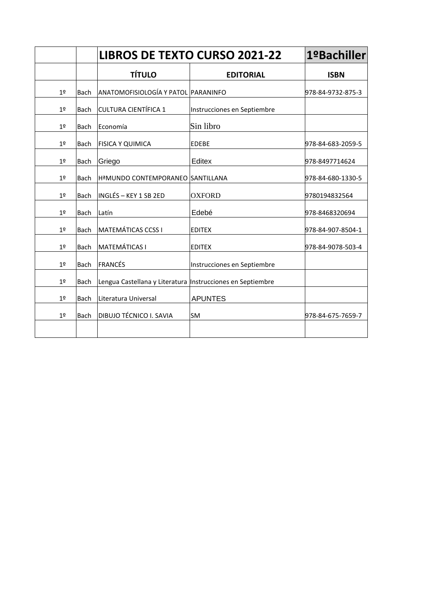|                |             | <b>LIBROS DE TEXTO CURSO 2021-22</b> |                             | 1ºBachiller       |
|----------------|-------------|--------------------------------------|-----------------------------|-------------------|
|                |             | <b>TÍTULO</b>                        | <b>EDITORIAL</b>            | <b>ISBN</b>       |
| 1 <sup>°</sup> | <b>Bach</b> | ANATOMOFISIOLOGÍA Y PATOL PARANINFO  |                             | 978-84-9732-875-3 |
| 1 <sup>°</sup> | <b>Bach</b> | <b>CULTURA CIENTÍFICA 1</b>          | Instrucciones en Septiembre |                   |
| 1 <sup>°</sup> | Bach        | <b>IEconomía</b>                     | Sin libro                   |                   |
| 1 <sup>°</sup> | <b>Bach</b> | <b>FISICA Y QUIMICA</b>              | <b>EDEBE</b>                | 978-84-683-2059-5 |
| 1 <sup>°</sup> | <b>Bach</b> | Griego                               | Editex                      | 978-8497714624    |
| 1 <sup>°</sup> | Bach        | HªMUNDO CONTEMPORANEO                | <b>SANTILLANA</b>           | 978-84-680-1330-5 |
| 1 <sup>°</sup> | <b>Bach</b> | INGLÉS - KEY 1 SB 2ED                | <b>OXFORD</b>               | 9780194832564     |
| 1 <sup>°</sup> | <b>Bach</b> | Latín                                | Edebé                       | 978-8468320694    |
| 1 <sup>°</sup> | <b>Bach</b> | <b>MATEMÁTICAS CCSS I</b>            | <b>EDITEX</b>               | 978-84-907-8504-1 |
| 1 <sup>°</sup> | <b>Bach</b> | <b>MATEMÁTICAS I</b>                 | <b>EDITEX</b>               | 978-84-9078-503-4 |
| 1 <sup>°</sup> | <b>Bach</b> | <b>FRANCÉS</b>                       | Instrucciones en Septiembre |                   |
| 1 <sup>°</sup> | <b>Bach</b> | Lengua Castellana y Literatura       | Instrucciones en Septiembre |                   |
| 1 <sup>0</sup> | <b>Bach</b> | Literatura Universal                 | <b>APUNTES</b>              |                   |
| 1 <sup>°</sup> | <b>Bach</b> | DIBUJO TÉCNICO I. SAVIA              | <b>SM</b>                   | 978-84-675-7659-7 |
|                |             |                                      |                             |                   |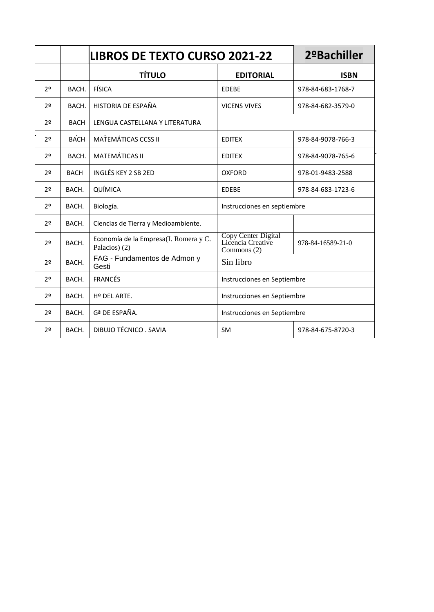|                |             | <b>LIBROS DE TEXTO CURSO 2021-22</b>                   |                                                         | 2º Bachiller      |
|----------------|-------------|--------------------------------------------------------|---------------------------------------------------------|-------------------|
|                |             | <b>TÍTULO</b>                                          | <b>EDITORIAL</b>                                        | <b>ISBN</b>       |
| 22             | BACH.       | FÍSICA                                                 | <b>EDEBE</b>                                            | 978-84-683-1768-7 |
| 2 <sup>0</sup> | BACH.       | HISTORIA DE ESPAÑA                                     | <b>VICENS VIVES</b>                                     | 978-84-682-3579-0 |
| 20             | <b>BACH</b> | LENGUA CASTELLANA Y LITERATURA                         |                                                         |                   |
| 2 <sup>0</sup> | <b>BACH</b> | <b>MATEMÁTICAS CCSS II</b>                             | <b>EDITEX</b>                                           | 978-84-9078-766-3 |
| 2 <sup>0</sup> | BACH.       | <b>MATEMÁTICAS II</b>                                  | <b>EDITEX</b>                                           | 978-84-9078-765-6 |
| 2 <sup>0</sup> | <b>BACH</b> | INGLÉS KEY 2 SB 2ED                                    | <b>OXFORD</b>                                           | 978-01-9483-2588  |
| 22             | BACH.       | QUÍMICA                                                | <b>EDEBE</b>                                            | 978-84-683-1723-6 |
| 2 <sup>0</sup> | BACH.       | Biología.                                              | Instrucciones en septiembre                             |                   |
| 2 <sup>0</sup> | BACH.       | Ciencias de Tierra y Medioambiente.                    |                                                         |                   |
| 20             | BACH.       | Economía de la Empresa(I. Romera y C.<br>Palacios) (2) | Copy Center Digital<br>Licencia Creative<br>Commons (2) | 978-84-16589-21-0 |
| 20             | BACH.       | FAG - Fundamentos de Admon y<br>Gesti                  | Sin libro                                               |                   |
| 2 <sup>0</sup> | BACH.       | <b>FRANCÉS</b>                                         | Instrucciones en Septiembre                             |                   |
| 2 <sup>0</sup> | BACH.       | Hº DEL ARTE.                                           | Instrucciones en Septiembre                             |                   |
| 2 <sup>0</sup> | BACH.       | Gª DE ESPAÑA.                                          | Instrucciones en Septiembre                             |                   |
| 2 <sup>0</sup> | BACH.       | DIBUJO TÉCNICO. SAVIA                                  | <b>SM</b>                                               | 978-84-675-8720-3 |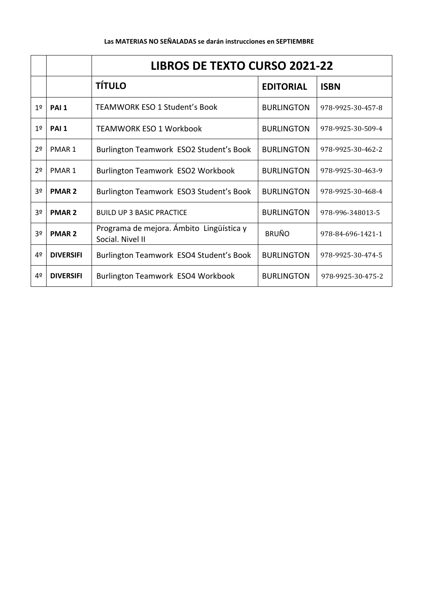|                |                   | <b>LIBROS DE TEXTO CURSO 2021-22</b>                         |                   |                   |  |
|----------------|-------------------|--------------------------------------------------------------|-------------------|-------------------|--|
|                |                   | <b>TÍTULO</b>                                                | <b>EDITORIAL</b>  | <b>ISBN</b>       |  |
| 1 <sup>°</sup> | PAI <sub>1</sub>  | TEAMWORK ESO 1 Student's Book                                | <b>BURLINGTON</b> | 978-9925-30-457-8 |  |
| 1 <sup>°</sup> | PAI <sub>1</sub>  | <b>TEAMWORK ESO 1 Workbook</b>                               | <b>BURLINGTON</b> | 978-9925-30-509-4 |  |
| 2 <sup>o</sup> | PMAR <sub>1</sub> | Burlington Teamwork ESO2 Student's Book                      | <b>BURLINGTON</b> | 978-9925-30-462-2 |  |
| 2 <sup>o</sup> | PMAR <sub>1</sub> | Burlington Teamwork ESO2 Workbook                            | <b>BURLINGTON</b> | 978-9925-30-463-9 |  |
| 3 <sup>o</sup> | <b>PMAR 2</b>     | Burlington Teamwork ESO3 Student's Book                      | <b>BURLINGTON</b> | 978-9925-30-468-4 |  |
| 3 <sup>o</sup> | <b>PMAR 2</b>     | <b>BUILD UP 3 BASIC PRACTICE</b>                             | <b>BURLINGTON</b> | 978-996-348013-5  |  |
| 3 <sup>o</sup> | <b>PMAR 2</b>     | Programa de mejora. Ámbito Lingüística y<br>Social. Nivel II | <b>BRUÑO</b>      | 978-84-696-1421-1 |  |
| 4º             | <b>DIVERSIFI</b>  | Burlington Teamwork ESO4 Student's Book                      | <b>BURLINGTON</b> | 978-9925-30-474-5 |  |
| 4º             | <b>DIVERSIFI</b>  | Burlington Teamwork ESO4 Workbook                            | <b>BURLINGTON</b> | 978-9925-30-475-2 |  |